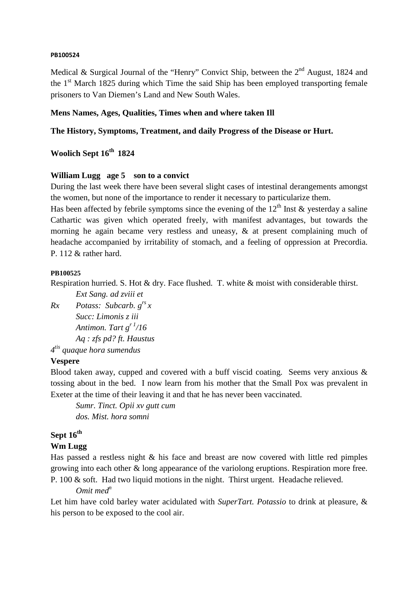#### **PB100524**

Medical & Surgical Journal of the "Henry" Convict Ship, between the  $2<sup>nd</sup>$  August, 1824 and the  $1<sup>st</sup>$  March 1825 during which Time the said Ship has been employed transporting female prisoners to Van Diemen's Land and New South Wales.

#### **Mens Names, Ages, Qualities, Times when and where taken Ill**

#### **The History, Symptoms, Treatment, and daily Progress of the Disease or Hurt.**

# **Woolich Sept 16th 1824**

#### **William Lugg age 5 son to a convict**

During the last week there have been several slight cases of intestinal derangements amongst the women, but none of the importance to render it necessary to particularize them.

Has been affected by febrile symptoms since the evening of the  $12<sup>th</sup>$  Inst & yesterday a saline Cathartic was given which operated freely, with manifest advantages, but towards the morning he again became very restless and uneasy, & at present complaining much of headache accompanied by irritability of stomach, and a feeling of oppression at Precordia. P. 112 & rather hard.

#### **PB100525**

Respiration hurried. S. Hot & dry. Face flushed. T. white & moist with considerable thirst.

 *Ext Sang. ad zviii et* 

```
Rx Potass: Subcarb. grs 
x 
        Succ: Limonis z iii 
        Antimon. Tart gr 1/16 
        Aq : zfs pd? ft. Haustus 
4
tis quaque hora sumendus
```
#### **Vespere**

Blood taken away, cupped and covered with a buff viscid coating. Seems very anxious & tossing about in the bed. I now learn from his mother that the Small Pox was prevalent in Exeter at the time of their leaving it and that he has never been vaccinated.

*Sumr. Tinct. Opii xv gutt cum dos. Mist. hora somni* 

### **Sept 16th**

#### **Wm Lugg**

Has passed a restless night & his face and breast are now covered with little red pimples growing into each other & long appearance of the variolong eruptions. Respiration more free. P. 100 & soft. Had two liquid motions in the night. Thirst urgent. Headache relieved.

#### *Omit med<sup>n</sup>*

Let him have cold barley water acidulated with *SuperTart. Potassio* to drink at pleasure, & his person to be exposed to the cool air.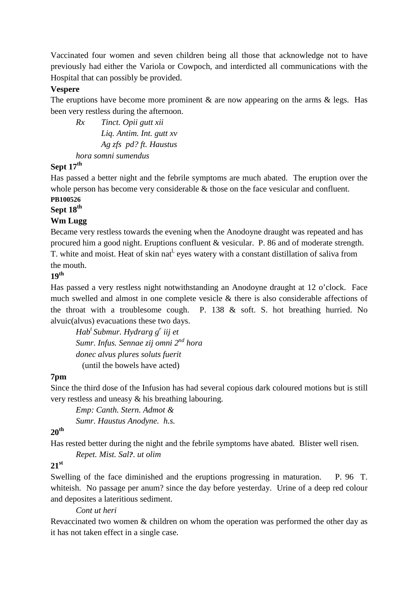Vaccinated four women and seven children being all those that acknowledge not to have previously had either the Variola or Cowpoch, and interdicted all communications with the Hospital that can possibly be provided.

#### **Vespere**

The eruptions have become more prominent  $\&$  are now appearing on the arms  $\&$  legs. Has been very restless during the afternoon.

*Rx Tinct. Opii gutt xii Liq. Antim. Int. gutt xv Ag zfs pd? ft. Haustus hora somni sumendus* 

### **Sept 17th**

Has passed a better night and the febrile symptoms are much abated. The eruption over the whole person has become very considerable  $\&$  those on the face vesicular and confluent.

# **PB100526**

# **Sept 18th**

#### **Wm Lugg**

Became very restless towards the evening when the Anodoyne draught was repeated and has procured him a good night. Eruptions confluent & vesicular. P. 86 and of moderate strength. T. white and moist. Heat of skin nat<sup>1</sup> eyes watery with a constant distillation of saliva from the mouth.

# **19th**

Has passed a very restless night notwithstanding an Anodoyne draught at 12 o'clock. Face much swelled and almost in one complete vesicle & there is also considerable affections of the throat with a troublesome cough. P. 138 & soft. S. hot breathing hurried. No alvuic(alvus) evacuations these two days.

*Hab<sup>t</sup>Submur. Hydrarg g<sup>r</sup> iij et Sumr. Infus. Sennae zij omni 2nd hora donec alvus plures soluts fuerit*  (until the bowels have acted)

## **7pm**

Since the third dose of the Infusion has had several copious dark coloured motions but is still very restless and uneasy & his breathing labouring.

*Emp: Canth. Stern. Admot & Sumr. Haustus Anodyne. h.s.* 

# **20th**

Has rested better during the night and the febrile symptoms have abated. Blister well risen.

#### *Repet. Mist. Sal?. ut olim*

# **21st**

Swelling of the face diminished and the eruptions progressing in maturation. P. 96 T. whiteish. No passage per anum? since the day before yesterday. Urine of a deep red colour and deposites a lateritious sediment.

#### *Cont ut heri*

Revaccinated two women & children on whom the operation was performed the other day as it has not taken effect in a single case.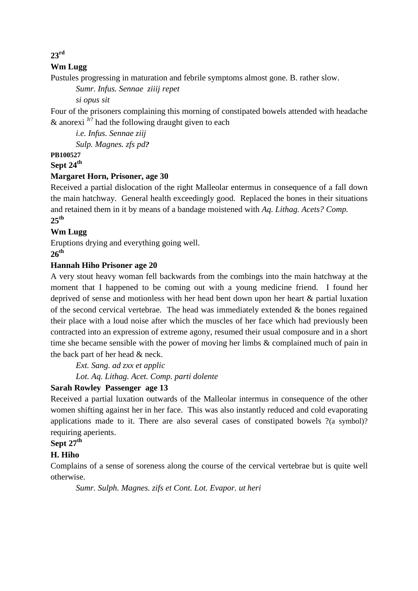## **23rd**

## **Wm Lugg**

Pustules progressing in maturation and febrile symptoms almost gone. B. rather slow.

*Sumr. Infus. Sennae ziiij repet* 

 *si opus sit* 

Four of the prisoners complaining this morning of constipated bowels attended with headache & anorexi  $Jr$ ? had the following draught given to each

*i.e. Infus. Sennae ziij Sulp. Magnes. zfs pd?*

# **PB100527**

# **Sept 24th**

#### **Margaret Horn, Prisoner, age 30**

Received a partial dislocation of the right Malleolar entermus in consequence of a fall down the main hatchway. General health exceedingly good. Replaced the bones in their situations and retained them in it by means of a bandage moistened with *Aq. Lithag. Acets? Comp.* **25th** 

#### **Wm Lugg**

Eruptions drying and everything going well.

# **26th**

#### **Hannah Hiho Prisoner age 20**

A very stout heavy woman fell backwards from the combings into the main hatchway at the moment that I happened to be coming out with a young medicine friend. I found her deprived of sense and motionless with her head bent down upon her heart & partial luxation of the second cervical vertebrae. The head was immediately extended & the bones regained their place with a loud noise after which the muscles of her face which had previously been contracted into an expression of extreme agony, resumed their usual composure and in a short time she became sensible with the power of moving her limbs & complained much of pain in the back part of her head & neck.

*Ext. Sang. ad zxx et applic Lot. Aq. Lithag. Acet. Comp. parti dolente* 

## **Sarah Rowley Passenger age 13**

Received a partial luxation outwards of the Malleolar intermus in consequence of the other women shifting against her in her face. This was also instantly reduced and cold evaporating applications made to it. There are also several cases of constipated bowels ?(a symbol)? requiring aperients.

# **Sept 27th**

## **H. Hiho**

Complains of a sense of soreness along the course of the cervical vertebrae but is quite well otherwise.

*Sumr. Sulph. Magnes. zifs et Cont. Lot. Evapor. ut heri*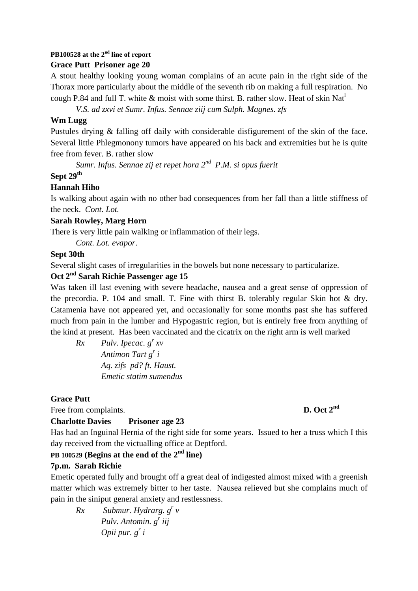# **PB100528 at the 2nd line of report**

#### **Grace Putt Prisoner age 20**

A stout healthy looking young woman complains of an acute pain in the right side of the Thorax more particularly about the middle of the seventh rib on making a full respiration. No cough P.84 and full T. white  $\&$  moist with some thirst. B. rather slow. Heat of skin Nat<sup>1</sup>

*V.S. ad zxvi et Sumr. Infus. Sennae ziij cum Sulph. Magnes. zfs* 

#### **Wm Lugg**

Pustules drying & falling off daily with considerable disfigurement of the skin of the face. Several little Phlegmonony tumors have appeared on his back and extremities but he is quite free from fever. B. rather slow

*Sumr. Infus. Sennae zij et repet hora 2nd P.M. si opus fuerit*

#### **Sept 29th**

#### **Hannah Hiho**

Is walking about again with no other bad consequences from her fall than a little stiffness of the neck. *Cont. Lot.*

#### **Sarah Rowley, Marg Horn**

There is very little pain walking or inflammation of their legs.

*Cont. Lot. evapor*.

#### **Sept 30th**

Several slight cases of irregularities in the bowels but none necessary to particularize.

### **Oct 2nd Sarah Richie Passenger age 15**

Was taken ill last evening with severe headache, nausea and a great sense of oppression of the precordia. P. 104 and small. T. Fine with thirst B. tolerably regular Skin hot & dry. Catamenia have not appeared yet, and occasionally for some months past she has suffered much from pain in the lumber and Hypogastric region, but is entirely free from anything of the kind at present. Has been vaccinated and the cicatrix on the right arm is well marked

 $Rx$  *Pulv. Ipecac.*  $g^r x v$  *Antimon Tart g<sup>r</sup> i Aq. zifs pd? ft. Haust. Emetic statim sumendus* 

## **Grace Putt**

Free from complaints. **D. Oct 2<sup>nd</sup>** 

## **Charlotte Davies Prisoner age 23**

Has had an Inguinal Hernia of the right side for some years. Issued to her a truss which I this day received from the victualling office at Deptford.

# **PB 100529 (Begins at the end of the 2nd line)**

## **7p.m. Sarah Richie**

Emetic operated fully and brought off a great deal of indigested almost mixed with a greenish matter which was extremely bitter to her taste. Nausea relieved but she complains much of pain in the siniput general anxiety and restlessness.

*Rx Submur. Hydrarg. g<sup>r</sup> v Pulv. Antomin. g<sup>r</sup> iij Opii pur. g<sup>r</sup> i*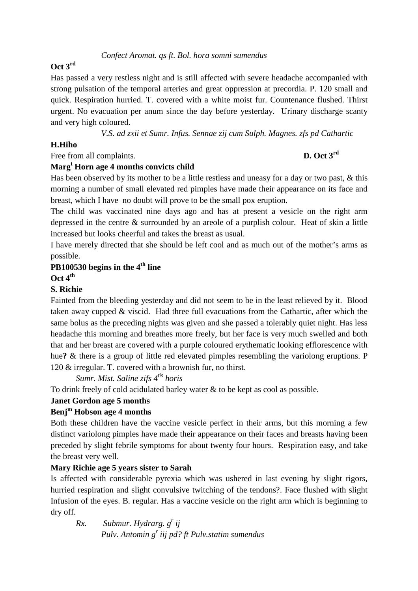#### *Confect Aromat. qs ft. Bol. hora somni sumendus*

#### **Oct 3rd**

Has passed a very restless night and is still affected with severe headache accompanied with strong pulsation of the temporal arteries and great oppression at precordia. P. 120 small and quick. Respiration hurried. T. covered with a white moist fur. Countenance flushed. Thirst urgent. No evacuation per anum since the day before yesterday. Urinary discharge scanty and very high coloured.

*V.S. ad zxii et Sumr. Infus. Sennae zij cum Sulph. Magnes. zfs pd Cathartic* 

#### **H.Hiho**

# Free from all complaints. **D. Oct 3<sup>rd</sup>**

# **Marg<sup>t</sup> Horn age 4 months convicts child**

Has been observed by its mother to be a little restless and uneasy for a day or two past, & this morning a number of small elevated red pimples have made their appearance on its face and breast, which I have no doubt will prove to be the small pox eruption.

The child was vaccinated nine days ago and has at present a vesicle on the right arm depressed in the centre & surrounded by an areole of a purplish colour. Heat of skin a little increased but looks cheerful and takes the breast as usual.

I have merely directed that she should be left cool and as much out of the mother's arms as possible.

## **PB100530 begins in the 4th line**

**Oct 4th** 

#### **S. Richie**

Fainted from the bleeding yesterday and did not seem to be in the least relieved by it. Blood taken away cupped & viscid. Had three full evacuations from the Cathartic, after which the same bolus as the preceding nights was given and she passed a tolerably quiet night. Has less headache this morning and breathes more freely, but her face is very much swelled and both that and her breast are covered with a purple coloured erythematic looking efflorescence with hue**?** & there is a group of little red elevated pimples resembling the variolong eruptions. P 120 & irregular. T. covered with a brownish fur, no thirst.

*Sumr. Mist. Saline zifs 4tis horis* 

To drink freely of cold acidulated barley water & to be kept as cool as possible.

#### **Janet Gordon age 5 months**

#### **Benj<sup>m</sup> Hobson age 4 months**

Both these children have the vaccine vesicle perfect in their arms, but this morning a few distinct variolong pimples have made their appearance on their faces and breasts having been preceded by slight febrile symptoms for about twenty four hours. Respiration easy, and take the breast very well.

#### **Mary Richie age 5 years sister to Sarah**

Is affected with considerable pyrexia which was ushered in last evening by slight rigors, hurried respiration and slight convulsive twitching of the tendons?. Face flushed with slight Infusion of the eyes. B. regular. Has a vaccine vesicle on the right arm which is beginning to dry off.

*Rx. Submur. Hydrarg. g<sup>r</sup> ij Pulv. Antomin g<sup>r</sup> iij pd? ft Pulv.statim sumendus*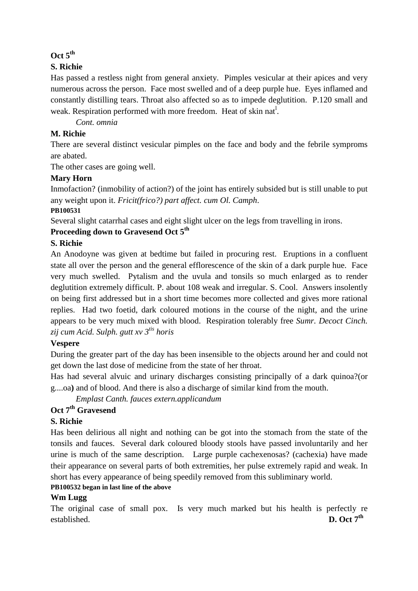#### **Oct 5th**

#### **S. Richie**

Has passed a restless night from general anxiety. Pimples vesicular at their apices and very numerous across the person. Face most swelled and of a deep purple hue. Eyes inflamed and constantly distilling tears. Throat also affected so as to impede deglutition. P.120 small and weak. Respiration performed with more freedom. Heat of skin nat<sup>1</sup>.

*Cont. omnia* 

#### **M. Richie**

There are several distinct vesicular pimples on the face and body and the febrile symproms are abated.

The other cases are going well.

#### **Mary Horn**

Inmofaction? (inmobility of action?) of the joint has entirely subsided but is still unable to put any weight upon it. *Fricit(frico?) part affect. cum Ol. Camph*.

#### **PB100531**

Several slight catarrhal cases and eight slight ulcer on the legs from travelling in irons.

## **Proceeding down to Gravesend Oct 5th**

#### **S. Richie**

An Anodoyne was given at bedtime but failed in procuring rest. Eruptions in a confluent state all over the person and the general efflorescence of the skin of a dark purple hue. Face very much swelled. Pytalism and the uvula and tonsils so much enlarged as to render deglutition extremely difficult. P. about 108 weak and irregular. S. Cool. Answers insolently on being first addressed but in a short time becomes more collected and gives more rational replies. Had two foetid, dark coloured motions in the course of the night, and the urine appears to be very much mixed with blood. Respiration tolerably free *Sumr. Decoct Cinch. zij cum Acid. Sulph. gutt xv 3tis horis* 

## **Vespere**

During the greater part of the day has been insensible to the objects around her and could not get down the last dose of medicine from the state of her throat.

Has had several alvuic and urinary discharges consisting principally of a dark quinoa?(or g....oa**)** and of blood. And there is also a discharge of similar kind from the mouth.

*Emplast Canth. fauces extern.applicandum* 

# **Oct 7th Gravesend**

## **S. Richie**

Has been delirious all night and nothing can be got into the stomach from the state of the tonsils and fauces. Several dark coloured bloody stools have passed involuntarily and her urine is much of the same description. Large purple cachexenosas? (cachexia) have made their appearance on several parts of both extremities, her pulse extremely rapid and weak. In short has every appearance of being speedily removed from this subliminary world.

#### **PB100532 began in last line of the above**

## **Wm Lugg**

The original case of small pox. Is very much marked but his health is perfectly re established.  $D. Oct 7<sup>th</sup>$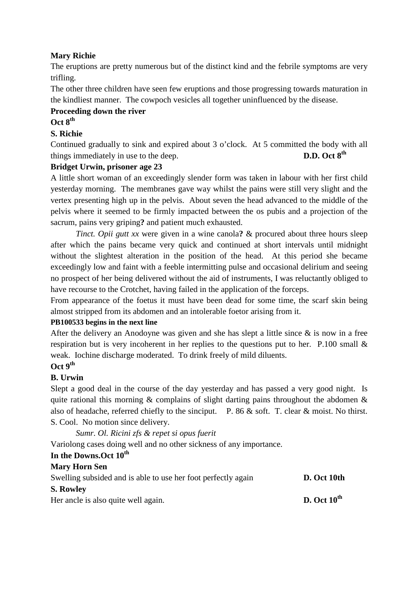### **Mary Richie**

The eruptions are pretty numerous but of the distinct kind and the febrile symptoms are very trifling.

The other three children have seen few eruptions and those progressing towards maturation in the kindliest manner. The cowpoch vesicles all together uninfluenced by the disease.

#### **Proceeding down the river Oct 8th**

# **S. Richie**

Continued gradually to sink and expired about 3 o'clock. At 5 committed the body with all things immediately in use to the deep. **D.D.** Oct 8<sup>th</sup>

#### **Bridget Urwin, prisoner age 23**

A little short woman of an exceedingly slender form was taken in labour with her first child yesterday morning. The membranes gave way whilst the pains were still very slight and the vertex presenting high up in the pelvis. About seven the head advanced to the middle of the pelvis where it seemed to be firmly impacted between the os pubis and a projection of the sacrum, pains very griping**?** and patient much exhausted.

*Tinct. Opii gutt xx* were given in a wine canola**?** & procured about three hours sleep after which the pains became very quick and continued at short intervals until midnight without the slightest alteration in the position of the head. At this period she became exceedingly low and faint with a feeble intermitting pulse and occasional delirium and seeing no prospect of her being delivered without the aid of instruments, I was reluctantly obliged to have recourse to the Crotchet, having failed in the application of the forceps.

From appearance of the foetus it must have been dead for some time, the scarf skin being almost stripped from its abdomen and an intolerable foetor arising from it.

#### **PB100533 begins in the next line**

After the delivery an Anodoyne was given and she has slept a little since  $\&$  is now in a free respiration but is very incoherent in her replies to the questions put to her. P.100 small  $\&$ weak. Iochine discharge moderated. To drink freely of mild diluents.

# **Oct 9th**

#### **B. Urwin**

Slept a good deal in the course of the day yesterday and has passed a very good night. Is quite rational this morning  $\&$  complains of slight darting pains throughout the abdomen  $\&$ also of headache, referred chiefly to the sinciput. P. 86 & soft. T. clear & moist. No thirst. S. Cool. No motion since delivery.

*Sumr. Ol. Ricini zfs & repet si opus fuerit* 

Variolong cases doing well and no other sickness of any importance.

#### **In the Downs.Oct 10th**

### **Mary Horn Sen**

| Swelling subsided and is able to use her foot perfectly again | D. Oct 10th             |
|---------------------------------------------------------------|-------------------------|
| <b>S. Rowley</b>                                              |                         |
| Her ancle is also quite well again.                           | D. Oct $10^{\text{th}}$ |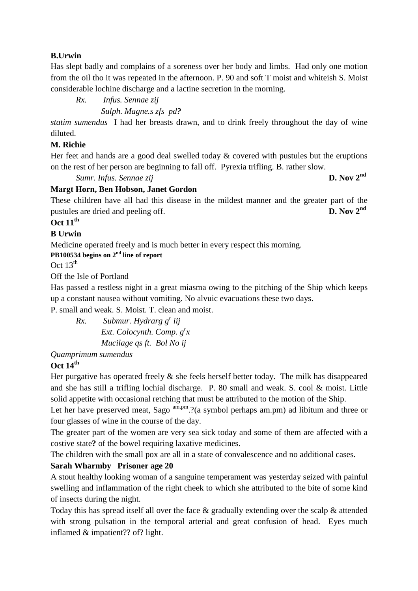#### **B.Urwin**

Has slept badly and complains of a soreness over her body and limbs. Had only one motion from the oil tho it was repeated in the afternoon. P. 90 and soft T moist and whiteish S. Moist considerable lochine discharge and a lactine secretion in the morning.

*Rx. Infus. Sennae zij* 

 *Sulph. Magne.s zfs pd?*

*statim sumendus* I had her breasts drawn, and to drink freely throughout the day of wine diluted.

#### **M. Richie**

Her feet and hands are a good deal swelled today  $\&$  covered with pustules but the eruptions on the rest of her person are beginning to fall off. Pyrexia trifling. B. rather slow.

*Sumr. Infus. Sennae zij* **D. Nov 2nd**

#### **Margt Horn, Ben Hobson, Janet Gordon**

These children have all had this disease in the mildest manner and the greater part of the pustules are dried and peeling off. **D. Nov 2nd**

# **Oct 11th**

#### **B Urwin**

Medicine operated freely and is much better in every respect this morning.

**PB100534 begins on 2nd line of report** 

Oct  $13^{\text{th}}$ 

Off the Isle of Portland

Has passed a restless night in a great miasma owing to the pitching of the Ship which keeps up a constant nausea without vomiting. No alvuic evacuations these two days.

P. small and weak. S. Moist. T. clean and moist.

*Rx. Submur. Hydrarg g<sup>r</sup> iij Ext. Colocynth. Comp. g<sup>r</sup> x Mucilage qs ft. Bol No ij* 

*Quamprimum sumendus* 

#### **Oct 14th**

Her purgative has operated freely  $\&$  she feels herself better today. The milk has disappeared and she has still a trifling lochial discharge. P. 80 small and weak. S. cool & moist. Little solid appetite with occasional retching that must be attributed to the motion of the Ship.

Let her have preserved meat, Sago  $\text{am.pm.}$ ?(a symbol perhaps am.pm) ad libitum and three or four glasses of wine in the course of the day.

The greater part of the women are very sea sick today and some of them are affected with a costive state**?** of the bowel requiring laxative medicines.

The children with the small pox are all in a state of convalescence and no additional cases.

#### **Sarah Wharmby Prisoner age 20**

A stout healthy looking woman of a sanguine temperament was yesterday seized with painful swelling and inflammation of the right cheek to which she attributed to the bite of some kind of insects during the night.

Today this has spread itself all over the face & gradually extending over the scalp & attended with strong pulsation in the temporal arterial and great confusion of head. Eyes much inflamed & impatient?? of? light.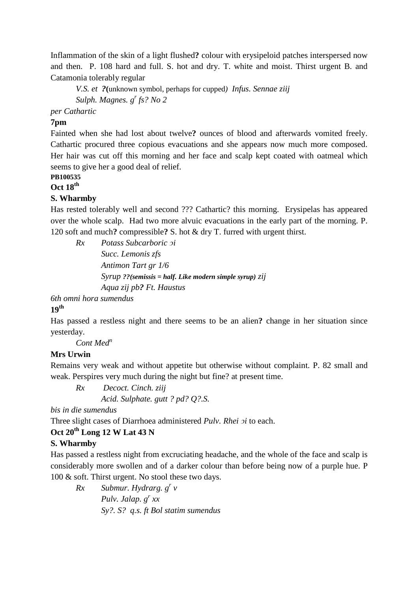Inflammation of the skin of a light flushed**?** colour with erysipeloid patches interspersed now and then. P. 108 hard and full. S. hot and dry. T. white and moist. Thirst urgent B. and Catamonia tolerably regular

*V.S. et ?***(**unknown symbol, perhaps for cupped*) Infus. Sennae ziij Sulph. Magnes. g<sup>r</sup> fs? No 2* 

*per Cathartic* 

#### **7pm**

Fainted when she had lost about twelve**?** ounces of blood and afterwards vomited freely. Cathartic procured three copious evacuations and she appears now much more composed. Her hair was cut off this morning and her face and scalp kept coated with oatmeal which seems to give her a good deal of relief.

#### **PB100535**

**Oct 18th**

#### **S. Wharmby**

Has rested tolerably well and second ??? Cathartic? this morning. Erysipelas has appeared over the whole scalp. Had two more alvuic evacuations in the early part of the morning. P. 120 soft and much**?** compressible**?** S. hot & dry T. furred with urgent thirst.

*Rx Potass Subcarboric ↄi* 

 *Succ. Lemonis zfs Antimon Tart gr 1/6 Syrup ??(semissis = half. Like modern simple syrup) zij Aqua zij pb? Ft. Haustus* 

*6th omni hora sumendus* 

#### **19th**

Has passed a restless night and there seems to be an alien**?** change in her situation since yesterday.

*Cont Med<sup>n</sup>*

#### **Mrs Urwin**

Remains very weak and without appetite but otherwise without complaint. P. 82 small and weak. Perspires very much during the night but fine? at present time.

*Rx Decoct. Cinch. ziij* 

 *Acid. Sulphate. gutt ? pd? Q?.S.* 

*bis in die sumendus* 

Three slight cases of Diarrhoea administered *Pulv. Rhei*  $\sigma i$  to each.

#### **Oct 20th Long 12 W Lat 43 N**

#### **S. Wharmby**

Has passed a restless night from excruciating headache, and the whole of the face and scalp is considerably more swollen and of a darker colour than before being now of a purple hue. P 100 & soft. Thirst urgent. No stool these two days.

*Rx Submur. Hydrarg. g<sup>r</sup> v Pulv. Jalap. g<sup>r</sup> xx Sy?. S? q.s. ft Bol statim sumendus*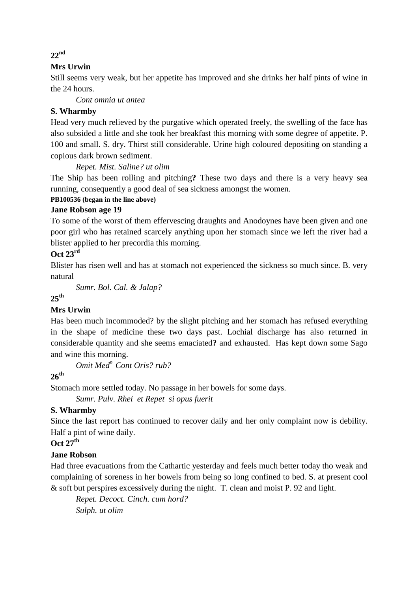### **Mrs Urwin**

Still seems very weak, but her appetite has improved and she drinks her half pints of wine in the 24 hours.

*Cont omnia ut antea* 

#### **S. Wharmby**

Head very much relieved by the purgative which operated freely, the swelling of the face has also subsided a little and she took her breakfast this morning with some degree of appetite. P. 100 and small. S. dry. Thirst still considerable. Urine high coloured depositing on standing a copious dark brown sediment.

*Repet. Mist. Saline? ut olim* 

The Ship has been rolling and pitching**?** These two days and there is a very heavy sea running, consequently a good deal of sea sickness amongst the women.

#### **PB100536 (began in the line above)**

#### **Jane Robson age 19**

To some of the worst of them effervescing draughts and Anodoynes have been given and one poor girl who has retained scarcely anything upon her stomach since we left the river had a blister applied to her precordia this morning.

#### **Oct 23rd**

Blister has risen well and has at stomach not experienced the sickness so much since. B. very natural

*Sumr. Bol. Cal. & Jalap?* 

**25th** 

#### **Mrs Urwin**

Has been much incommoded? by the slight pitching and her stomach has refused everything in the shape of medicine these two days past. Lochial discharge has also returned in considerable quantity and she seems emaciated**?** and exhausted. Has kept down some Sago and wine this morning.

*Omit Med<sup>n</sup>Cont Oris? rub?* 

## **26th**

Stomach more settled today. No passage in her bowels for some days.

*Sumr. Pulv. Rhei et Repet si opus fuerit* 

#### **S. Wharmby**

Since the last report has continued to recover daily and her only complaint now is debility. Half a pint of wine daily.

**Oct 27th**

#### **Jane Robson**

Had three evacuations from the Cathartic yesterday and feels much better today tho weak and complaining of soreness in her bowels from being so long confined to bed. S. at present cool & soft but perspires excessively during the night. T. clean and moist P. 92 and light.

*Repet. Decoct. Cinch. cum hord? Sulph. ut olim* 

#### **22nd**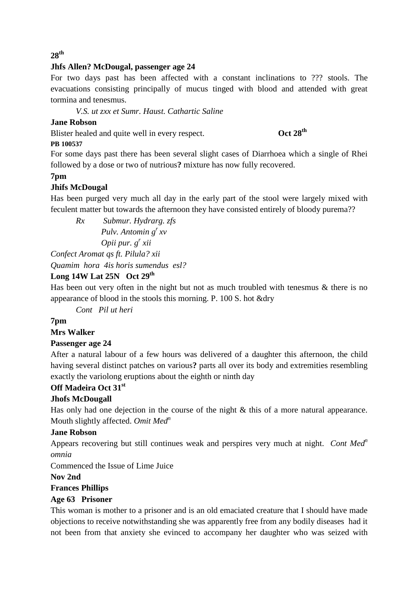#### **28th**

#### **Jhfs Allen? McDougal, passenger age 24**

For two days past has been affected with a constant inclinations to ??? stools. The evacuations consisting principally of mucus tinged with blood and attended with great tormina and tenesmus.

*V.S. ut zxx et Sumr. Haust. Cathartic Saline* 

#### **Jane Robson**

Blister healed and quite well in every respect. **Oct 28th**

# **PB 100537**

For some days past there has been several slight cases of Diarrhoea which a single of Rhei followed by a dose or two of nutrious**?** mixture has now fully recovered.

## **7pm**

# **Jhifs McDougal**

Has been purged very much all day in the early part of the stool were largely mixed with feculent matter but towards the afternoon they have consisted entirely of bloody purema??

*Rx Submur. Hydrarg. zfs Pulv. Antomin g<sup>r</sup> xv Opii pur. g<sup>r</sup> xii Confect Aromat qs ft. Pilula? xii* 

*Quamim hora 4is horis sumendus esl?* 

## **Long 14W Lat 25N Oct 29th**

Has been out very often in the night but not as much troubled with tenesmus  $\&$  there is no appearance of blood in the stools this morning. P. 100 S. hot &dry

*Cont Pil ut heri* 

**7pm** 

#### **Mrs Walker**

## **Passenger age 24**

After a natural labour of a few hours was delivered of a daughter this afternoon, the child having several distinct patches on various**?** parts all over its body and extremities resembling exactly the variolong eruptions about the eighth or ninth day

## **Off Madeira Oct 31st**

## **Jhofs McDougall**

Has only had one dejection in the course of the night & this of a more natural appearance. Mouth slightly affected. *Omit Med<sup>n</sup>*

#### **Jane Robson**

Appears recovering but still continues weak and perspires very much at night. *Cont Med<sup>n</sup> omnia* 

Commenced the Issue of Lime Juice

#### **Nov 2nd**

## **Frances Phillips**

#### **Age 63 Prisoner**

This woman is mother to a prisoner and is an old emaciated creature that I should have made objections to receive notwithstanding she was apparently free from any bodily diseases had it not been from that anxiety she evinced to accompany her daughter who was seized with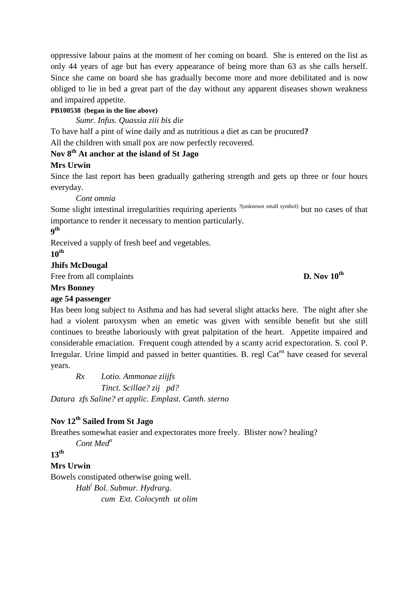oppressive labour pains at the moment of her coming on board. She is entered on the list as only 44 years of age but has every appearance of being more than 63 as she calls herself. Since she came on board she has gradually become more and more debilitated and is now obliged to lie in bed a great part of the day without any apparent diseases shown weakness and impaired appetite.

#### **PB100538 (began in the line above)**

*Sumr. Infus. Quassia ziii bis die* 

To have half a pint of wine daily and as nutritious a diet as can be procured**?** All the children with small pox are now perfectly recovered.

## **Nov 8th At anchor at the island of St Jago**

#### **Mrs Urwin**

Since the last report has been gradually gathering strength and gets up three or four hours everyday.

*Cont omnia* 

Some slight intestinal irregularities requiring aperients <sup>?(unknown small symbol)</sup> but no cases of that importance to render it necessary to mention particularly.

### **9 th**

Received a supply of fresh beef and vegetables.

**10th**

#### **Jhifs McDougal**

Free from all complaints **D. Nov 10<sup>th</sup>** 

#### **Mrs Bonney**

#### **age 54 passenger**

Has been long subject to Asthma and has had several slight attacks here. The night after she had a violent paroxysm when an emetic was given with sensible benefit but she still continues to breathe laboriously with great palpitation of the heart. Appetite impaired and considerable emaciation. Frequent cough attended by a scanty acrid expectoration. S. cool P. Irregular. Urine limpid and passed in better quantities. B. regl Cat<sup>en</sup> have ceased for several years.

*Rx Lotio. Ammonae ziijfs Tinct. Scillae? zij pd? Datura zfs Saline? et applic. Emplast. Canth. sterno* 

# **Nov 12th Sailed from St Jago**

Breathes somewhat easier and expectorates more freely. Blister now? healing?

*Cont Med<sup>n</sup>*

# **13th**

## **Mrs Urwin**

Bowels constipated otherwise going well. *Hab<sup>t</sup> Bol. Submur. Hydrarg. cum Ext. Colocynth ut olim*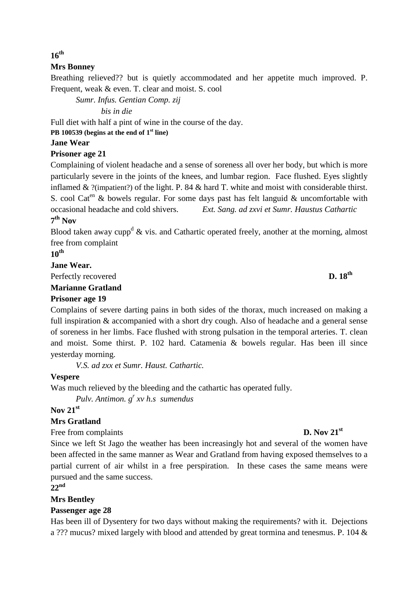#### **16th**

#### **Mrs Bonney**

Breathing relieved?? but is quietly accommodated and her appetite much improved. P. Frequent, weak & even. T. clear and moist. S. cool

*Sumr. Infus. Gentian Comp. zij* 

 *bis in die* 

Full diet with half a pint of wine in the course of the day.

**PB 100539 (begins at the end of 1st line)** 

#### **Jane Wear**

#### **Prisoner age 21**

Complaining of violent headache and a sense of soreness all over her body, but which is more particularly severe in the joints of the knees, and lumbar region. Face flushed. Eyes slightly inflamed & ?(impatient?) of the light. P. 84 & hard T. white and moist with considerable thirst. S. cool Cat<sup>en</sup> & bowels regular. For some days past has felt languid & uncomfortable with occasional headache and cold shivers. *Ext. Sang. ad zxvi et Sumr. Haustus Cathartic* **7 th Nov** 

Blood taken away cupp<sup>d</sup>  $\&$  vis. and Cathartic operated freely, another at the morning, almost free from complaint

**10th**

#### **Jane Wear.**

Perfectly recovered **D. 18th**

#### **Marianne Gratland**

#### **Prisoner age 19**

Complains of severe darting pains in both sides of the thorax, much increased on making a full inspiration & accompanied with a short dry cough. Also of headache and a general sense of soreness in her limbs. Face flushed with strong pulsation in the temporal arteries. T. clean and moist. Some thirst. P. 102 hard. Catamenia & bowels regular. Has been ill since yesterday morning.

*V.S. ad zxx et Sumr. Haust. Cathartic.* 

#### **Vespere**

Was much relieved by the bleeding and the cathartic has operated fully.

*Pulv. Antimon. g<sup>r</sup> xv h.s sumendus* 

#### **Nov 21st**

#### **Mrs Gratland**

Free from complaints **D. Nov 21**<sup>st</sup>

Since we left St Jago the weather has been increasingly hot and several of the women have been affected in the same manner as Wear and Gratland from having exposed themselves to a partial current of air whilst in a free perspiration. In these cases the same means were pursued and the same success.

#### **22nd**

## **Mrs Bentley**

#### **Passenger age 28**

Has been ill of Dysentery for two days without making the requirements? with it. Dejections a ??? mucus? mixed largely with blood and attended by great tormina and tenesmus. P. 104 &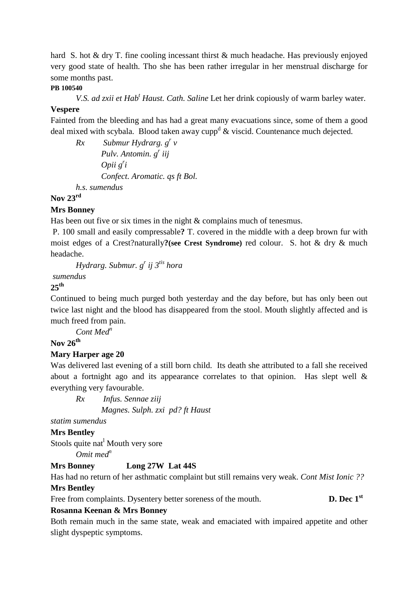hard S. hot & dry T. fine cooling incessant thirst & much headache. Has previously enjoyed very good state of health. Tho she has been rather irregular in her menstrual discharge for some months past.

#### **PB 100540**

*V.S. ad zxii et Hab<sup>t</sup> Haust. Cath. Saline* Let her drink copiously of warm barley water.

#### **Vespere**

Fainted from the bleeding and has had a great many evacuations since, some of them a good deal mixed with scybala. Blood taken away cupp<sup>d</sup>  $\&$  viscid. Countenance much dejected.

*Rx Submur Hydrarg. g<sup>r</sup> v Pulv. Antomin. g<sup>r</sup> iij Opii g<sup>r</sup> i Confect. Aromatic. qs ft Bol. h.s. sumendus* 

#### **Nov 23rd**

#### **Mrs Bonney**

Has been out five or six times in the night & complains much of tenesmus.

 P. 100 small and easily compressable**?** T. covered in the middle with a deep brown fur with moist edges of a Crest?naturally**?(see Crest Syndrome)** red colour. S. hot & dry & much headache.

*Hydrarg. Submur. g<sup>r</sup> ij 3tis hora* 

 *sumendus* 

# **25th**

Continued to being much purged both yesterday and the day before, but has only been out twice last night and the blood has disappeared from the stool. Mouth slightly affected and is much freed from pain.

*Cont Med<sup>n</sup>*

# **Nov 26th**

#### **Mary Harper age 20**

Was delivered last evening of a still born child. Its death she attributed to a fall she received about a fortnight ago and its appearance correlates to that opinion. Has slept well & everything very favourable.

*Rx Infus. Sennae ziij Magnes. Sulph. zxi pd? ft Haust* 

*statim sumendus* 

#### **Mrs Bentley**

Stools quite nat<sup>1</sup> Mouth very sore

*Omit med<sup>n</sup>*

#### **Mrs Bonney Long 27W Lat 44S**

Has had no return of her asthmatic complaint but still remains very weak. *Cont Mist Ionic ??*  **Mrs Bentley** 

Free from complaints. Dysentery better soreness of the mouth. **D. Dec 1**<sup>st</sup>

#### **Rosanna Keenan & Mrs Bonney**

Both remain much in the same state, weak and emaciated with impaired appetite and other slight dyspeptic symptoms.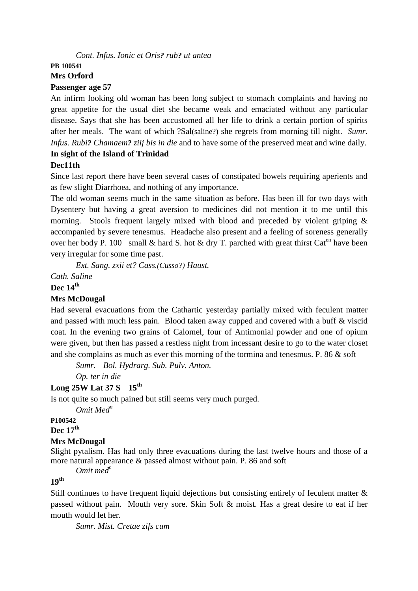#### *Cont. Infus. Ionic et Oris? rub? ut antea*

#### **PB 100541 Mrs Orford**

#### **Passenger age 57**

An infirm looking old woman has been long subject to stomach complaints and having no great appetite for the usual diet she became weak and emaciated without any particular disease. Says that she has been accustomed all her life to drink a certain portion of spirits after her meals. The want of which ?Sal(saline?) she regrets from morning till night. *Sumr. Infus. Rubi? Chamaem? ziij bis in die* and to have some of the preserved meat and wine daily.

#### **In sight of the Island of Trinidad Dec11th**

Since last report there have been several cases of constipated bowels requiring aperients and as few slight Diarrhoea, and nothing of any importance.

The old woman seems much in the same situation as before. Has been ill for two days with Dysentery but having a great aversion to medicines did not mention it to me until this morning. Stools frequent largely mixed with blood and preceded by violent griping & accompanied by severe tenesmus. Headache also present and a feeling of soreness generally over her body P. 100 small & hard S. hot & dry T. parched with great thirst Cat<sup>en</sup> have been very irregular for some time past.

*Ext. Sang. zxii et? Cass.(Cusso?) Haust.* 

*Cath. Saline* 

#### **Dec 14th**

#### **Mrs McDougal**

Had several evacuations from the Cathartic yesterday partially mixed with feculent matter and passed with much less pain. Blood taken away cupped and covered with a buff & viscid coat. In the evening two grains of Calomel, four of Antimonial powder and one of opium were given, but then has passed a restless night from incessant desire to go to the water closet and she complains as much as ever this morning of the tormina and tenesmus. P. 86 & soft

*Sumr. Bol. Hydrarg. Sub. Pulv. Anton.* 

 *Op. ter in die* 

#### **Long 25W Lat 37 S 15th**

Is not quite so much pained but still seems very much purged.

*Omit Med<sup>n</sup>*

#### **P100542**

**Dec 17th** 

#### **Mrs McDougal**

Slight pytalism. Has had only three evacuations during the last twelve hours and those of a more natural appearance & passed almost without pain. P. 86 and soft

*Omit med<sup>n</sup>*

# **19th**

Still continues to have frequent liquid dejections but consisting entirely of feculent matter  $\&$ passed without pain. Mouth very sore. Skin Soft & moist. Has a great desire to eat if her mouth would let her.

*Sumr. Mist. Cretae zifs cum*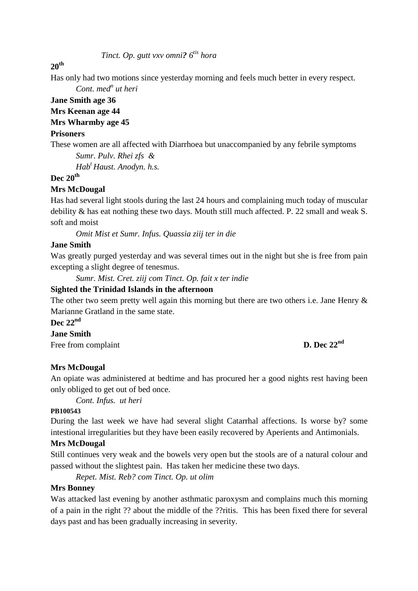*Tinct. Op. gutt vxv omni? 6tis hora* 

#### **20th**

Has only had two motions since yesterday morning and feels much better in every respect.

*Cont.* med<sup>*n*</sup> ut heri

# **Jane Smith age 36**

# **Mrs Keenan age 44**

# **Mrs Wharmby age 45**

#### **Prisoners**

These women are all affected with Diarrhoea but unaccompanied by any febrile symptoms *Sumr. Pulv. Rhei zfs &* 

 *Hab<sup>t</sup>Haust. Anodyn. h.s.* 

# **Dec 20th**

## **Mrs McDougal**

Has had several light stools during the last 24 hours and complaining much today of muscular debility & has eat nothing these two days. Mouth still much affected. P. 22 small and weak S. soft and moist

*Omit Mist et Sumr. Infus. Quassia ziij ter in die* 

#### **Jane Smith**

Was greatly purged yesterday and was several times out in the night but she is free from pain excepting a slight degree of tenesmus.

*Sumr. Mist. Cret. ziij com Tinct. Op. fait x ter indie* 

#### **Sighted the Trinidad Islands in the afternoon**

The other two seem pretty well again this morning but there are two others i.e. Jane Henry  $\&$ Marianne Gratland in the same state.

**Dec 22nd**

#### **Jane Smith**

Free from complaint **D. Dec 22<sup>nd</sup>** 

#### **Mrs McDougal**

An opiate was administered at bedtime and has procured her a good nights rest having been only obliged to get out of bed once.

*Cont. Infus. ut heri* 

#### **PB100543**

During the last week we have had several slight Catarrhal affections. Is worse by? some intestional irregularities but they have been easily recovered by Aperients and Antimonials.

#### **Mrs McDougal**

Still continues very weak and the bowels very open but the stools are of a natural colour and passed without the slightest pain. Has taken her medicine these two days.

*Repet. Mist. Reb? com Tinct. Op. ut olim* 

#### **Mrs Bonney**

Was attacked last evening by another asthmatic paroxysm and complains much this morning of a pain in the right ?? about the middle of the ??ritis. This has been fixed there for several days past and has been gradually increasing in severity.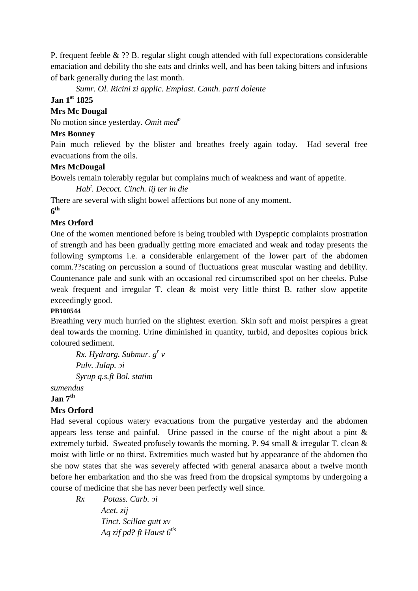P. frequent feeble & ?? B. regular slight cough attended with full expectorations considerable emaciation and debility tho she eats and drinks well, and has been taking bitters and infusions of bark generally during the last month.

*Sumr. Ol. Ricini zi applic. Emplast. Canth. parti dolente* 

# **Jan 1st 1825**

#### **Mrs Mc Dougal**

No motion since yesterday. *Omit med<sup>n</sup>*

#### **Mrs Bonney**

Pain much relieved by the blister and breathes freely again today. Had several free evacuations from the oils.

#### **Mrs McDougal**

Bowels remain tolerably regular but complains much of weakness and want of appetite.

*Hab<sup>t</sup> . Decoct. Cinch. iij ter in die* 

There are several with slight bowel affections but none of any moment.

# **6 th**

## **Mrs Orford**

One of the women mentioned before is being troubled with Dyspeptic complaints prostration of strength and has been gradually getting more emaciated and weak and today presents the following symptoms i.e. a considerable enlargement of the lower part of the abdomen comm.??scating on percussion a sound of fluctuations great muscular wasting and debility. Countenance pale and sunk with an occasional red circumscribed spot on her cheeks. Pulse weak frequent and irregular T. clean & moist very little thirst B. rather slow appetite exceedingly good.

#### **PB100544**

Breathing very much hurried on the slightest exertion. Skin soft and moist perspires a great deal towards the morning. Urine diminished in quantity, turbid, and deposites copious brick coloured sediment.

*Rx. Hydrarg. Submur. g<sup>r</sup> v Pulv. Julap. ↄi Syrup q.s.ft Bol. statim* 

*sumendus* 

**Jan 7th**

# **Mrs Orford**

Had several copious watery evacuations from the purgative yesterday and the abdomen appears less tense and painful. Urine passed in the course of the night about a pint & extremely turbid. Sweated profusely towards the morning. P. 94 small & irregular T. clean & moist with little or no thirst. Extremities much wasted but by appearance of the abdomen tho she now states that she was severely affected with general anasarca about a twelve month before her embarkation and tho she was freed from the dropsical symptoms by undergoing a course of medicine that she has never been perfectly well since.

*Rx Potass. Carb. ↄi Acet. zij Tinct. Scillae gutt xv Aq zif pd? ft Haust 6tis*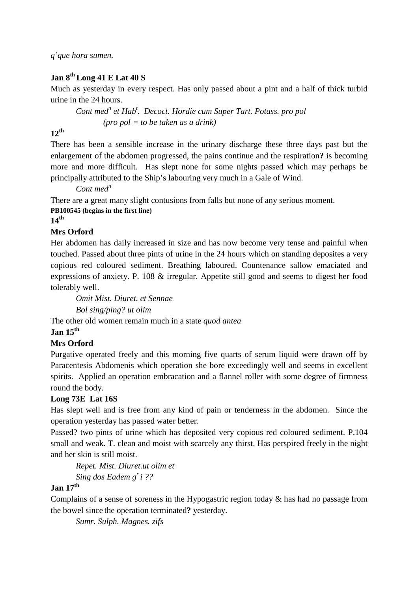*q'que hora sumen.* 

# **Jan 8th Long 41 E Lat 40 S**

Much as yesterday in every respect. Has only passed about a pint and a half of thick turbid urine in the 24 hours.

Cont med<sup>*n*</sup> et Hab<sup>*t*</sup>. Decoct. Hordie cum Super Tart. Potass. pro pol  *(pro pol = to be taken as a drink)*

#### **12th**

There has been a sensible increase in the urinary discharge these three days past but the enlargement of the abdomen progressed, the pains continue and the respiration**?** is becoming more and more difficult. Has slept none for some nights passed which may perhaps be principally attributed to the Ship's labouring very much in a Gale of Wind.

*Cont med<sup>n</sup>*

There are a great many slight contusions from falls but none of any serious moment.

#### **PB100545 (begins in the first line)**

**14th**

## **Mrs Orford**

Her abdomen has daily increased in size and has now become very tense and painful when touched. Passed about three pints of urine in the 24 hours which on standing deposites a very copious red coloured sediment. Breathing laboured. Countenance sallow emaciated and expressions of anxiety. P. 108 & irregular. Appetite still good and seems to digest her food tolerably well.

*Omit Mist. Diuret. et Sennae Bol sing/ping? ut olim*  The other old women remain much in a state *quod antea*

#### **Jan 15th**

## **Mrs Orford**

Purgative operated freely and this morning five quarts of serum liquid were drawn off by Paracentesis Abdomenis which operation she bore exceedingly well and seems in excellent spirits. Applied an operation embracation and a flannel roller with some degree of firmness round the body.

## **Long 73E Lat 16S**

Has slept well and is free from any kind of pain or tenderness in the abdomen. Since the operation yesterday has passed water better.

Passed? two pints of urine which has deposited very copious red coloured sediment. P.104 small and weak. T. clean and moist with scarcely any thirst. Has perspired freely in the night and her skin is still moist.

*Repet. Mist. Diuret.ut olim et Sing dos Eadem g<sup>r</sup>i ??* 

# **Jan 17th**

Complains of a sense of soreness in the Hypogastric region today & has had no passage from the bowel since the operation terminated**?** yesterday.

*Sumr. Sulph. Magnes. zifs*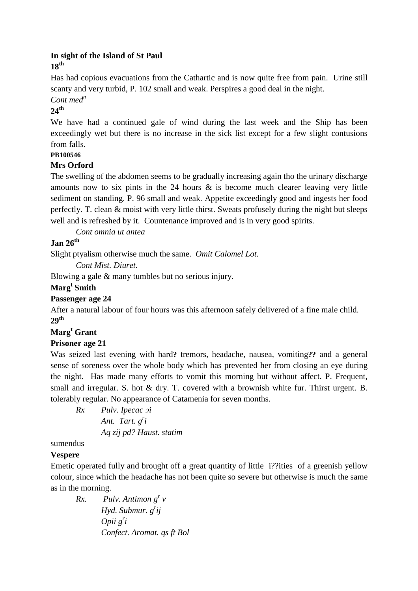### **In sight of the Island of St Paul 18th**

Has had copious evacuations from the Cathartic and is now quite free from pain. Urine still scanty and very turbid, P. 102 small and weak. Perspires a good deal in the night.

*Cont med<sup>n</sup>*

# **24th**

We have had a continued gale of wind during the last week and the Ship has been exceedingly wet but there is no increase in the sick list except for a few slight contusions from falls.

## **PB100546**

## **Mrs Orford**

The swelling of the abdomen seems to be gradually increasing again tho the urinary discharge amounts now to six pints in the 24 hours  $\&$  is become much clearer leaving very little sediment on standing. P. 96 small and weak. Appetite exceedingly good and ingests her food perfectly. T. clean & moist with very little thirst. Sweats profusely during the night but sleeps well and is refreshed by it. Countenance improved and is in very good spirits.

*Cont omnia ut antea* 

# **Jan 26th**

Slight ptyalism otherwise much the same. *Omit Calomel Lot.*

*Cont Mist. Diuret.* 

Blowing a gale & many tumbles but no serious injury.

## **Marg<sup>t</sup> Smith**

# **Passenger age 24**

After a natural labour of four hours was this afternoon safely delivered of a fine male child.  $20<sup>th</sup>$ 

# **Marg<sup>t</sup> Grant**

# **Prisoner age 21**

Was seized last evening with hard**?** tremors, headache, nausea, vomiting**??** and a general sense of soreness over the whole body which has prevented her from closing an eye during the night. Has made many efforts to vomit this morning but without affect. P. Frequent, small and irregular. S. hot & dry. T. covered with a brownish white fur. Thirst urgent. B. tolerably regular. No appearance of Catamenia for seven months.

*Rx Pulv. Ipecac ↄi* 

 *Ant. Tart. g<sup>r</sup> i Aq zij pd? Haust. statim* 

## sumendus

## **Vespere**

Emetic operated fully and brought off a great quantity of little i??ities of a greenish yellow colour, since which the headache has not been quite so severe but otherwise is much the same as in the morning.

*Rx.* Pulv. Antimon  $g^r v$  *Hyd. Submur. g<sup>r</sup> ij Opii g<sup>r</sup> i Confect. Aromat. qs ft Bol*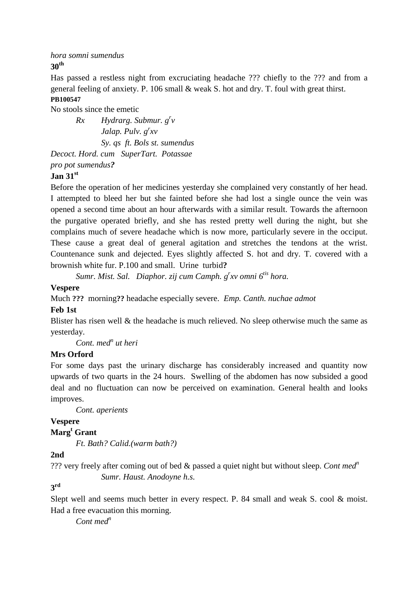*hora somni sumendus*  **30th**

Has passed a restless night from excruciating headache ??? chiefly to the ??? and from a general feeling of anxiety. P. 106 small & weak S. hot and dry. T. foul with great thirst. **PB100547** 

No stools since the emetic

*Rx Hydrarg. Submur. g<sup>r</sup> v Jalap. Pulv. g<sup>r</sup> xv Sy. qs ft. Bols st. sumendus Decoct. Hord. cum SuperTart. Potassae* 

*pro pot sumendus?* 

# **Jan 31st**

Before the operation of her medicines yesterday she complained very constantly of her head. I attempted to bleed her but she fainted before she had lost a single ounce the vein was opened a second time about an hour afterwards with a similar result. Towards the afternoon the purgative operated briefly, and she has rested pretty well during the night, but she complains much of severe headache which is now more, particularly severe in the occiput. These cause a great deal of general agitation and stretches the tendons at the wrist. Countenance sunk and dejected. Eyes slightly affected S. hot and dry. T. covered with a brownish white fur. P.100 and small. Urine turbid**?**

*Sumr. Mist. Sal. Diaphor. zij cum Camph. g<sup>r</sup> xv omni 6tis hora.* 

## **Vespere**

Much **???** morning**??** headache especially severe. *Emp. Canth. nuchae admot* 

## **Feb 1st**

Blister has risen well  $\&$  the headache is much relieved. No sleep otherwise much the same as yesterday.

*Cont.* med<sup>*n*</sup> ut heri

# **Mrs Orford**

For some days past the urinary discharge has considerably increased and quantity now upwards of two quarts in the 24 hours. Swelling of the abdomen has now subsided a good deal and no fluctuation can now be perceived on examination. General health and looks improves.

*Cont. aperients* 

**Vespere** 

# **Marg<sup>t</sup> Grant**

*Ft. Bath? Calid.(warm bath?)* 

## **2nd**

??? very freely after coming out of bed & passed a quiet night but without sleep. *Cont med<sup>n</sup> Sumr. Haust. Anodoyne h.s.* 

# **3 rd**

Slept well and seems much better in every respect. P. 84 small and weak S. cool & moist. Had a free evacuation this morning.

*Cont med<sup>n</sup>*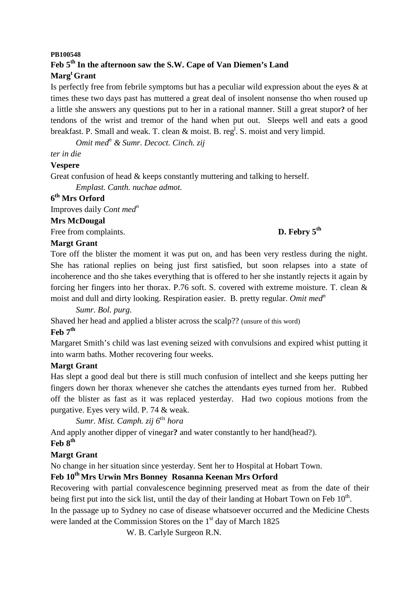# **PB100548 Feb 5th In the afternoon saw the S.W. Cape of Van Diemen's Land Marg<sup>t</sup>Grant**

Is perfectly free from febrile symptoms but has a peculiar wild expression about the eyes & at times these two days past has muttered a great deal of insolent nonsense tho when roused up a little she answers any questions put to her in a rational manner. Still a great stupor**?** of her tendons of the wrist and tremor of the hand when put out. Sleeps well and eats a good breakfast. P. Small and weak. T. clean  $\&$  moist. B. reg<sup>1</sup>. S. moist and very limpid.

*Omit med<sup>n</sup> & Sumr. Decoct. Cinch. zij* 

#### *ter in die*

#### **Vespere**

Great confusion of head  $&$  keeps constantly muttering and talking to herself.

*Emplast. Canth. nuchae admot.* 

# **6 th Mrs Orford**

Improves daily *Cont med<sup>n</sup>*

#### **Mrs McDougal**

Free from complaints. **D. Febry 5<sup>th</sup>** 

## **Margt Grant**

Tore off the blister the moment it was put on, and has been very restless during the night. She has rational replies on being just first satisfied, but soon relapses into a state of incoherence and tho she takes everything that is offered to her she instantly rejects it again by forcing her fingers into her thorax. P.76 soft. S. covered with extreme moisture. T. clean & moist and dull and dirty looking. Respiration easier. B. pretty regular. *Omit med<sup>n</sup>*

*Sumr. Bol. purg.* 

Shaved her head and applied a blister across the scalp?? (unsure of this word)

#### **Feb 7th**

Margaret Smith's child was last evening seized with convulsions and expired whist putting it into warm baths. Mother recovering four weeks.

## **Margt Grant**

Has slept a good deal but there is still much confusion of intellect and she keeps putting her fingers down her thorax whenever she catches the attendants eyes turned from her. Rubbed off the blister as fast as it was replaced yesterday. Had two copious motions from the purgative. Eyes very wild. P. 74 & weak.

*Sumr. Mist. Camph. zij 6tis hora* 

And apply another dipper of vinegar**?** and water constantly to her hand(head?).

# **Feb 8th**

## **Margt Grant**

No change in her situation since yesterday. Sent her to Hospital at Hobart Town.

# **Feb 10th Mrs Urwin Mrs Bonney Rosanna Keenan Mrs Orford**

Recovering with partial convalescence beginning preserved meat as from the date of their being first put into the sick list, until the day of their landing at Hobart Town on Feb  $10^{th}$ .

In the passage up to Sydney no case of disease whatsoever occurred and the Medicine Chests were landed at the Commission Stores on the  $1<sup>st</sup>$  day of March 1825

W. B. Carlyle Surgeon R.N.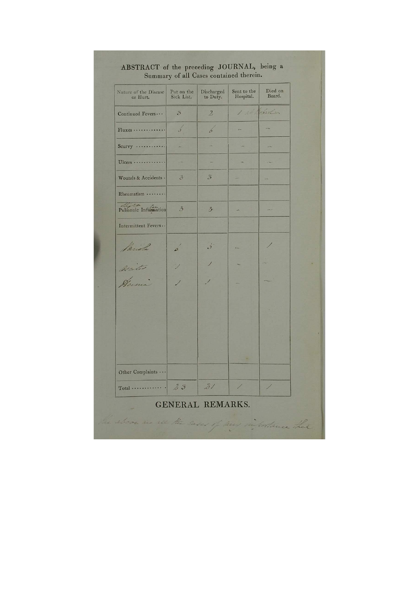| Nature of the Disease<br>or Hurt.          | Put on the<br>Sick List. | Discharged<br>to Duty.  | Sent to the<br>Hospital. | Died on<br>Board. |
|--------------------------------------------|--------------------------|-------------------------|--------------------------|-------------------|
| Continued Fevers                           | $\mathfrak{Z}$           | $\mathbf{2}$            | 1 2 Solart               |                   |
| Fluxes                                     | $\sqrt{s}$               | b                       |                          |                   |
| $S_{\text{curvy}} \dots \dots \dots \dots$ |                          |                         |                          |                   |
| $Ulcers$                                   |                          |                         |                          |                   |
| Wounds & Accidents .                       | $\mathcal{S}$            | $\mathcal{Z}$           |                          |                   |
| Rheumatism                                 |                          |                         |                          |                   |
| Pulmonic Information                       | $\ddot{\theta}$          | $\mathcal{Z}_{1}$       |                          |                   |
| Intermittent Fevers                        |                          |                         |                          |                   |
| Pariola                                    | $\mathcal{L}$            | $\overrightarrow{J}$    | e.                       |                   |
| Weiter                                     |                          |                         |                          |                   |
| Jema                                       |                          |                         |                          |                   |
|                                            |                          |                         |                          |                   |
|                                            |                          |                         |                          |                   |
|                                            |                          |                         |                          |                   |
| Other Complaints                           |                          |                         |                          |                   |
|                                            |                          | 31                      |                          |                   |
|                                            |                          | <b>GENERAL REMARKS.</b> |                          |                   |